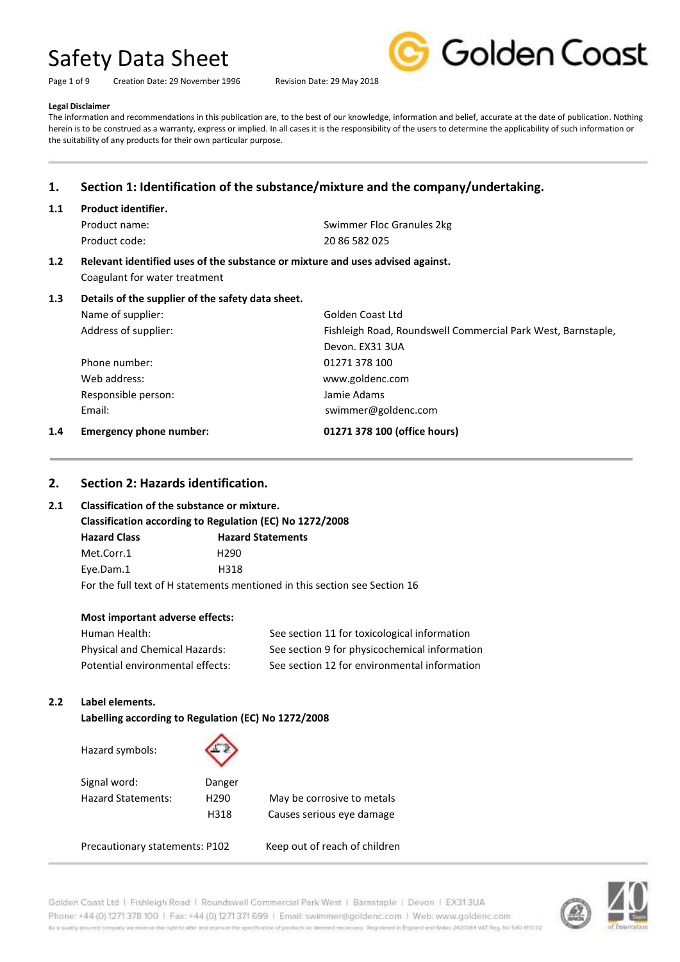Page 1 of 9 Creation Date: 29 November 1996 Revision Date: 29 May 2018



#### **Legal Disclaimer**

The information and recommendations in this publication are, to the best of our knowledge, information and belief, accurate at the date of publication. Nothing herein is to be construed as a warranty, express or implied. In all cases it is the responsibility of the users to determine the applicability of such information or the suitability of any products for their own particular purpose.

### **1. Section 1: Identification of the substance/mixture and the company/undertaking.**

#### **1.1 Product identifier.**

Product code: 20 86 582 025

Product name: Swimmer Floc Granules 2kg

### **1.2 Relevant identified uses of the substance or mixture and uses advised against.** Coagulant for water treatment

### **1.3 Details of the supplier of the safety data sheet.**

Name of supplier: Golden Coast Ltd

Address of supplier: Fishleigh Road, Roundswell Commercial Park West, Barnstaple, Devon. EX31 3UA Phone number: 01271 378 100 Web address: www.goldenc.com Responsible person: Jamie Adams Email: Email: Email: Email: Email: Email: Email: Email: Email: Email: Email: Email: Email: Email: Email: Email: Email: Email: Email: Email: Email: Email: Email: Email: Email: Email: Email: Email: Email: Email: Email: Email

#### **1.4 Emergency phone number: 01271 378 100 (office hours)**

### **2. Section 2: Hazards identification.**

#### **2.1 Classification of the substance or mixture.**

#### **Classification according to Regulation (EC) No 1272/2008**

**Hazard Class Hazard Statements** Met.Corr.1 H290 Eye.Dam.1 H318 For the full text of H statements mentioned in this section see Section 16

#### **Most important adverse effects:**

| Human Health:                    | See section 11 for toxicological information  |
|----------------------------------|-----------------------------------------------|
| Physical and Chemical Hazards:   | See section 9 for physicochemical information |
| Potential environmental effects: | See section 12 for environmental information  |

#### **2.2 Label elements.**

Hazard symbols:

**Labelling according to Regulation (EC) No 1272/2008**



| Signal word:              | Danger           |                            |
|---------------------------|------------------|----------------------------|
| <b>Hazard Statements:</b> | H <sub>290</sub> | May be corrosive to metals |
|                           | H318             | Causes serious eye damage  |

Precautionary statements: P102 Keep out of reach of children

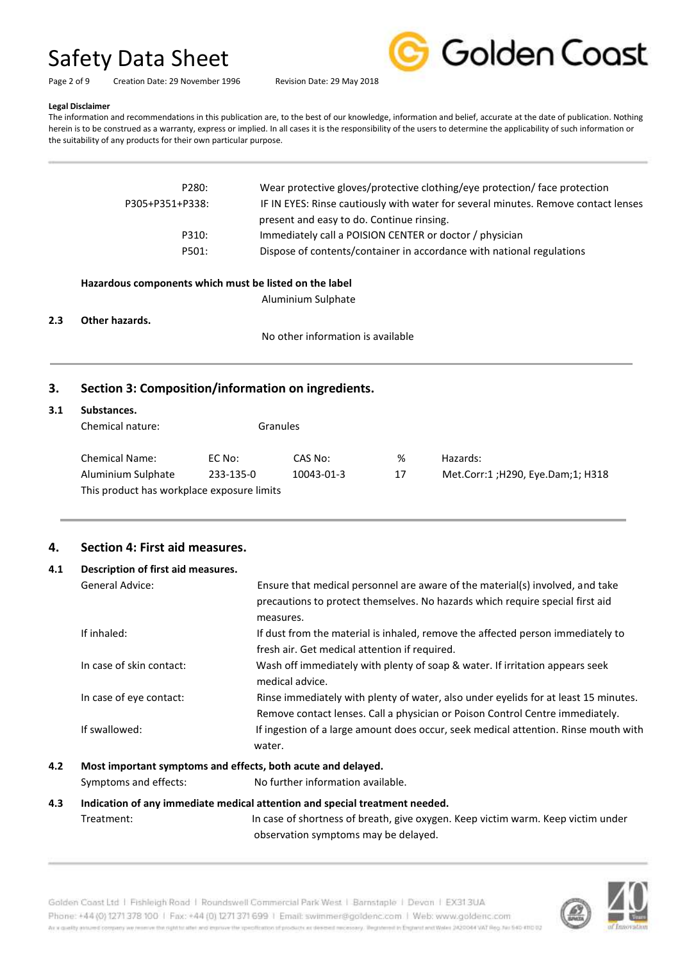

Page 2 of 9 Creation Date: 29 November 1996 Revision Date: 29 May 2018

#### **Legal Disclaimer**

The information and recommendations in this publication are, to the best of our knowledge, information and belief, accurate at the date of publication. Nothing herein is to be construed as a warranty, express or implied. In all cases it is the responsibility of the users to determine the applicability of such information or the suitability of any products for their own particular purpose.

| P280:<br>P305+P351+P338: | Wear protective gloves/protective clothing/eye protection/ face protection<br>IF IN EYES: Rinse cautiously with water for several minutes. Remove contact lenses |
|--------------------------|------------------------------------------------------------------------------------------------------------------------------------------------------------------|
| P310:                    | present and easy to do. Continue rinsing.<br>Immediately call a POISION CENTER or doctor / physician                                                             |
| P501:                    | Dispose of contents/container in accordance with national regulations                                                                                            |

#### **Hazardous components which must be listed on the label**

Aluminium Sulphate

**2.3 Other hazards.**

No other information is available

# **3. Section 3: Composition/information on ingredients.**

### **3.1 Substances.**

| Chemical nature:                           |           | Granules   |    |                                    |
|--------------------------------------------|-----------|------------|----|------------------------------------|
| <b>Chemical Name:</b>                      | EC No:    | CAS No:    | %  | Hazards:                           |
| Aluminium Sulphate                         | 233-135-0 | 10043-01-3 | 17 | Met.Corr:1; H290, Eye.Dam; 1; H318 |
| This product has workplace exposure limits |           |            |    |                                    |

# **4. Section 4: First aid measures.**

### **4.1 Description of first aid measures.**

| <b>General Advice:</b>   | Ensure that medical personnel are aware of the material(s) involved, and take<br>precautions to protect themselves. No hazards which require special first aid<br>measures. |
|--------------------------|-----------------------------------------------------------------------------------------------------------------------------------------------------------------------------|
| If inhaled:              | If dust from the material is inhaled, remove the affected person immediately to<br>fresh air. Get medical attention if required.                                            |
| In case of skin contact: | Wash off immediately with plenty of soap & water. If irritation appears seek<br>medical advice.                                                                             |
| In case of eye contact:  | Rinse immediately with plenty of water, also under eyelids for at least 15 minutes.<br>Remove contact lenses. Call a physician or Poison Control Centre immediately.        |
| If swallowed:            | If ingestion of a large amount does occur, seek medical attention. Rinse mouth with<br>water.                                                                               |

#### **4.2 Most important symptoms and effects, both acute and delayed.**

Symptoms and effects: No further information available.

### **4.3 Indication of any immediate medical attention and special treatment needed.**

Treatment: In case of shortness of breath, give oxygen. Keep victim warm. Keep victim under observation symptoms may be delayed.

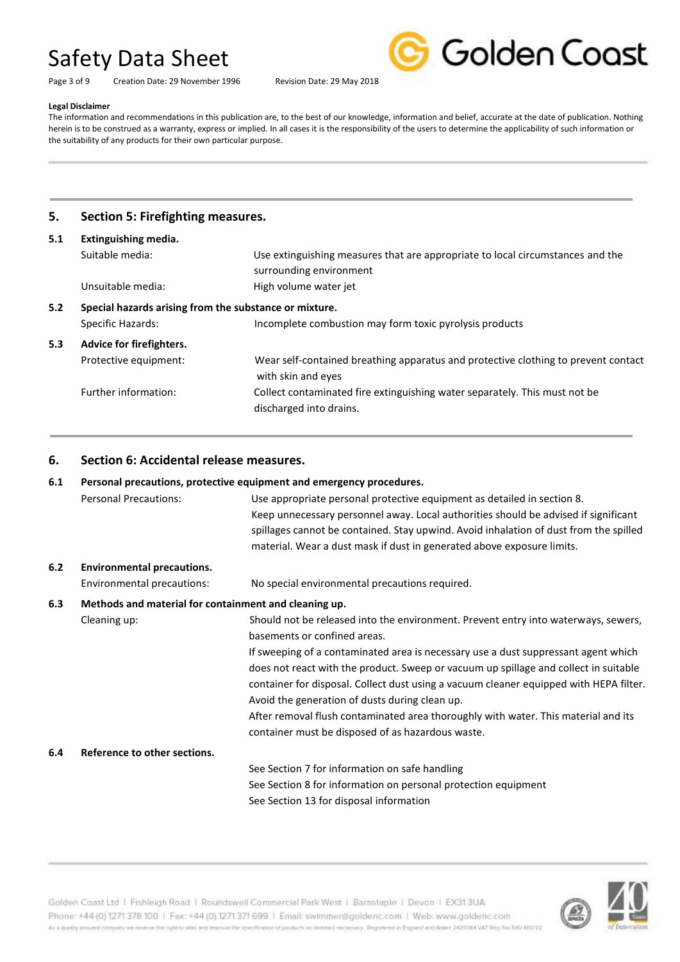Page 3 of 9 Creation Date: 29 November 1996 Revision Date: 29 May 2018



#### **Legal Disclaimer**

The information and recommendations in this publication are, to the best of our knowledge, information and belief, accurate at the date of publication. Nothing herein is to be construed as a warranty, express or implied. In all cases it is the responsibility of the users to determine the applicability of such information or the suitability of any products for their own particular purpose.

# **5. Section 5: Firefighting measures.**

| 5.1 | Extinguishing media.                                   |                                                                                                          |
|-----|--------------------------------------------------------|----------------------------------------------------------------------------------------------------------|
|     | Suitable media:                                        | Use extinguishing measures that are appropriate to local circumstances and the                           |
|     |                                                        | surrounding environment                                                                                  |
|     | Unsuitable media:                                      | High volume water jet                                                                                    |
| 5.2 | Special hazards arising from the substance or mixture. |                                                                                                          |
|     | <b>Specific Hazards:</b>                               | Incomplete combustion may form toxic pyrolysis products                                                  |
| 5.3 | Advice for firefighters.                               |                                                                                                          |
|     | Protective equipment:                                  | Wear self-contained breathing apparatus and protective clothing to prevent contact<br>with skin and eyes |
|     | Further information:                                   | Collect contaminated fire extinguishing water separately. This must not be<br>discharged into drains.    |

# **6. Section 6: Accidental release measures.**

| Personal precautions, protective equipment and emergency procedures.<br>6.1 |                                                       |                                                                                        |
|-----------------------------------------------------------------------------|-------------------------------------------------------|----------------------------------------------------------------------------------------|
|                                                                             | <b>Personal Precautions:</b>                          | Use appropriate personal protective equipment as detailed in section 8.                |
|                                                                             |                                                       | Keep unnecessary personnel away. Local authorities should be advised if significant    |
|                                                                             |                                                       | spillages cannot be contained. Stay upwind. Avoid inhalation of dust from the spilled  |
|                                                                             |                                                       | material. Wear a dust mask if dust in generated above exposure limits.                 |
| $6.2$                                                                       | <b>Environmental precautions.</b>                     |                                                                                        |
|                                                                             | Environmental precautions:                            | No special environmental precautions required.                                         |
| 6.3                                                                         | Methods and material for containment and cleaning up. |                                                                                        |
|                                                                             | Cleaning up:                                          | Should not be released into the environment. Prevent entry into waterways, sewers,     |
|                                                                             |                                                       | basements or confined areas.                                                           |
|                                                                             |                                                       | If sweeping of a contaminated area is necessary use a dust suppressant agent which     |
|                                                                             |                                                       | does not react with the product. Sweep or vacuum up spillage and collect in suitable   |
|                                                                             |                                                       | container for disposal. Collect dust using a vacuum cleaner equipped with HEPA filter. |
|                                                                             |                                                       | Avoid the generation of dusts during clean up.                                         |
|                                                                             |                                                       | After removal flush contaminated area thoroughly with water. This material and its     |
|                                                                             |                                                       | container must be disposed of as hazardous waste.                                      |
| 6.4                                                                         | Reference to other sections.                          |                                                                                        |
|                                                                             |                                                       | See Section 7 for information on safe handling                                         |
|                                                                             |                                                       | See Section 8 for information on personal protection equipment                         |
|                                                                             |                                                       | See Section 13 for disposal information                                                |



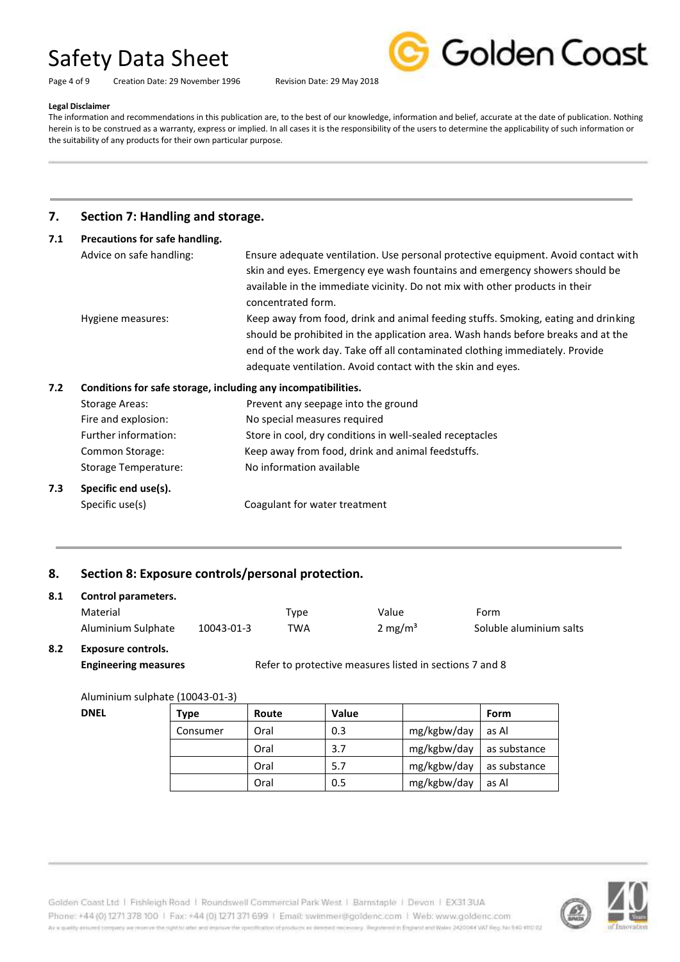Page 4 of 9 Creation Date: 29 November 1996 Revision Date: 29 May 2018



# **Legal Disclaimer**

The information and recommendations in this publication are, to the best of our knowledge, information and belief, accurate at the date of publication. Nothing herein is to be construed as a warranty, express or implied. In all cases it is the responsibility of the users to determine the applicability of such information or the suitability of any products for their own particular purpose.

# **7. Section 7: Handling and storage.**

| 7.1 | Precautions for safe handling.                                |                                                                                    |
|-----|---------------------------------------------------------------|------------------------------------------------------------------------------------|
|     | Advice on safe handling:                                      | Ensure adequate ventilation. Use personal protective equipment. Avoid contact with |
|     |                                                               | skin and eyes. Emergency eye wash fountains and emergency showers should be        |
|     |                                                               | available in the immediate vicinity. Do not mix with other products in their       |
|     |                                                               | concentrated form.                                                                 |
|     | Hygiene measures:                                             | Keep away from food, drink and animal feeding stuffs. Smoking, eating and drinking |
|     |                                                               | should be prohibited in the application area. Wash hands before breaks and at the  |
|     |                                                               | end of the work day. Take off all contaminated clothing immediately. Provide       |
|     |                                                               | adequate ventilation. Avoid contact with the skin and eyes.                        |
| 7.2 | Conditions for safe storage, including any incompatibilities. |                                                                                    |
|     | <b>Storage Areas:</b>                                         | Prevent any seepage into the ground                                                |
|     | Fire and explosion:                                           | No special measures required                                                       |
|     | Further information:                                          | Store in cool, dry conditions in well-sealed receptacles                           |

- Common Storage: Keep away from food, drink and animal feedstuffs.
- Storage Temperature: No information available
- **7.3 Specific end use(s).**

Specific use(s) Coagulant for water treatment

# **8. Section 8: Exposure controls/personal protection.**

| 8.1           | Control parameters. |            |      |                     |                         |
|---------------|---------------------|------------|------|---------------------|-------------------------|
|               | Material            |            | Type | Value               | Form                    |
|               | Aluminium Sulphate  | 10043-01-3 | TWA  | 2 mg/m <sup>3</sup> | Soluble aluminium salts |
| $\sim$ $\sim$ |                     |            |      |                     |                         |

#### **8.2 Exposure controls.**

**Engineering measures Refer to protective measures listed in sections 7 and 8** 

#### Aluminium sulphate (10043-01-3)

| <b>DNEL</b> | Type     | Route | Value |             | Form         |
|-------------|----------|-------|-------|-------------|--------------|
|             | Consumer | Oral  | 0.3   | mg/kgbw/day | as Al        |
|             |          | Oral  | 3.7   | mg/kgbw/day | as substance |
|             |          | Oral  | 5.7   | mg/kgbw/day | as substance |
|             |          | Oral  | 0.5   | mg/kgbw/day | as Al        |

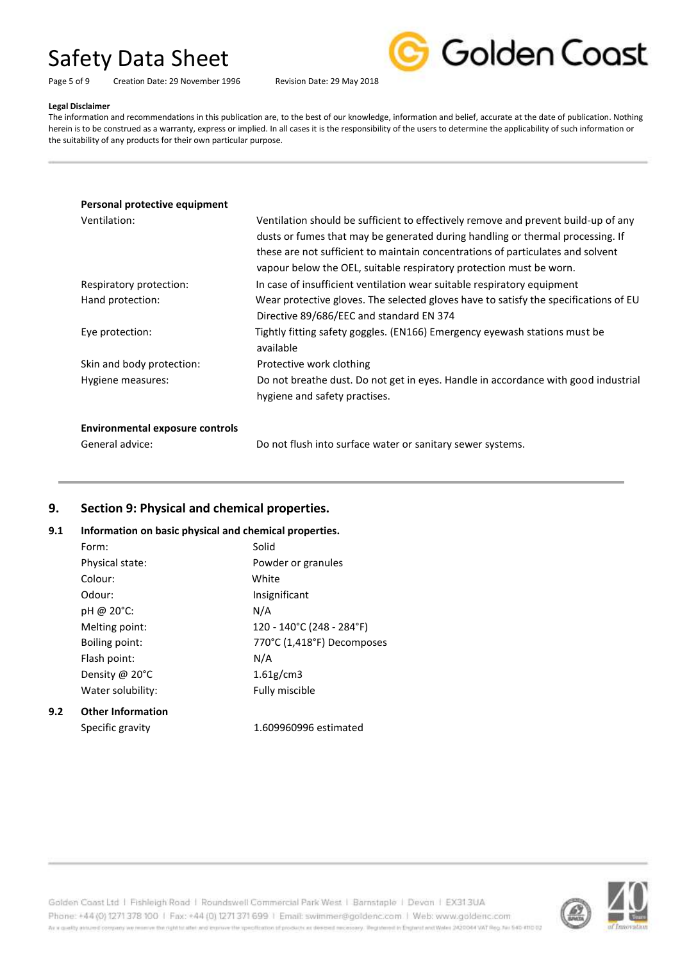#### Page 5 of 9 Creation Date: 29 November 1996 Revision Date: 29 May 2018



#### **Legal Disclaimer**

The information and recommendations in this publication are, to the best of our knowledge, information and belief, accurate at the date of publication. Nothing herein is to be construed as a warranty, express or implied. In all cases it is the responsibility of the users to determine the applicability of such information or the suitability of any products for their own particular purpose.

### **Personal protective equipment**

| Ventilation:              | Ventilation should be sufficient to effectively remove and prevent build-up of any<br>dusts or fumes that may be generated during handling or thermal processing. If<br>these are not sufficient to maintain concentrations of particulates and solvent |
|---------------------------|---------------------------------------------------------------------------------------------------------------------------------------------------------------------------------------------------------------------------------------------------------|
|                           | vapour below the OEL, suitable respiratory protection must be worn.                                                                                                                                                                                     |
| Respiratory protection:   | In case of insufficient ventilation wear suitable respiratory equipment                                                                                                                                                                                 |
| Hand protection:          | Wear protective gloves. The selected gloves have to satisfy the specifications of EU                                                                                                                                                                    |
|                           | Directive 89/686/EEC and standard EN 374                                                                                                                                                                                                                |
| Eye protection:           | Tightly fitting safety goggles. (EN166) Emergency eyewash stations must be<br>available                                                                                                                                                                 |
| Skin and body protection: | Protective work clothing                                                                                                                                                                                                                                |
| Hygiene measures:         | Do not breathe dust. Do not get in eyes. Handle in accordance with good industrial<br>hygiene and safety practises.                                                                                                                                     |

#### **Environmental exposure controls**

**9.2 Other Information**

General advice: Do not flush into surface water or sanitary sewer systems.

# **9. Section 9: Physical and chemical properties.**

#### **9.1 Information on basic physical and chemical properties.**

| Form:                    | Solid                      |
|--------------------------|----------------------------|
| Physical state:          | Powder or granules         |
| Colour:                  | White                      |
| Odour:                   | Insignificant              |
| pH @ 20°C:               | N/A                        |
| Melting point:           | 120 - 140°C (248 - 284°F)  |
| Boiling point:           | 770°C (1,418°F) Decomposes |
| Flash point:             | N/A                        |
| Density @ 20°C           | 1.61g/cm3                  |
| Water solubility:        | Fully miscible             |
| <b>Other Information</b> |                            |

Specific gravity 1.609960996 estimated

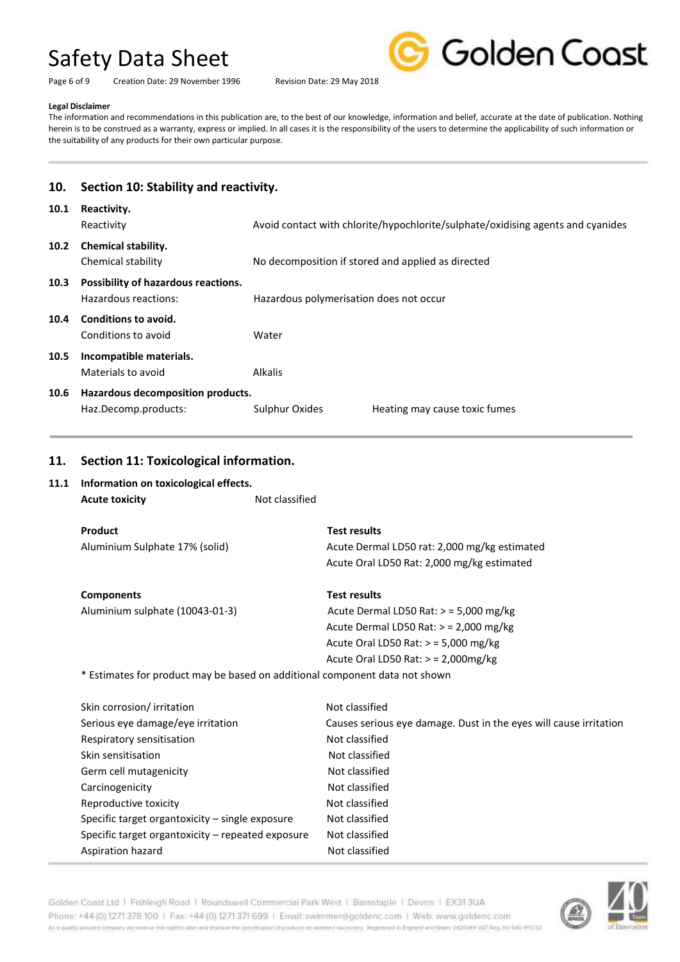Page 6 of 9 Creation Date: 29 November 1996 Revision Date: 29 May 2018



#### **Legal Disclaimer**

The information and recommendations in this publication are, to the best of our knowledge, information and belief, accurate at the date of publication. Nothing herein is to be construed as a warranty, express or implied. In all cases it is the responsibility of the users to determine the applicability of such information or the suitability of any products for their own particular purpose.

| Section 10: Stability and reactivity.                                                                                                                                                    |                                                                                                                                              |                                                                                                                                                                                                                                                                                                       |
|------------------------------------------------------------------------------------------------------------------------------------------------------------------------------------------|----------------------------------------------------------------------------------------------------------------------------------------------|-------------------------------------------------------------------------------------------------------------------------------------------------------------------------------------------------------------------------------------------------------------------------------------------------------|
| Reactivity.<br>Reactivity                                                                                                                                                                | Avoid contact with chlorite/hypochlorite/sulphate/oxidising agents and cyanides                                                              |                                                                                                                                                                                                                                                                                                       |
| Chemical stability.<br>Chemical stability                                                                                                                                                | No decomposition if stored and applied as directed                                                                                           |                                                                                                                                                                                                                                                                                                       |
| Possibility of hazardous reactions.<br>Hazardous reactions:                                                                                                                              | Hazardous polymerisation does not occur                                                                                                      |                                                                                                                                                                                                                                                                                                       |
| Conditions to avoid.<br>Conditions to avoid                                                                                                                                              | Water                                                                                                                                        |                                                                                                                                                                                                                                                                                                       |
| Incompatible materials.<br>Materials to avoid                                                                                                                                            |                                                                                                                                              |                                                                                                                                                                                                                                                                                                       |
| Haz.Decomp.products:                                                                                                                                                                     |                                                                                                                                              | Heating may cause toxic fumes                                                                                                                                                                                                                                                                         |
|                                                                                                                                                                                          |                                                                                                                                              |                                                                                                                                                                                                                                                                                                       |
| <b>Acute toxicity</b>                                                                                                                                                                    |                                                                                                                                              |                                                                                                                                                                                                                                                                                                       |
| Product<br>Aluminium Sulphate 17% (solid)                                                                                                                                                | <b>Test results</b>                                                                                                                          | Acute Dermal LD50 rat: 2,000 mg/kg estimated<br>Acute Oral LD50 Rat: 2,000 mg/kg estimated                                                                                                                                                                                                            |
| <b>Components</b><br>Aluminium sulphate (10043-01-3)                                                                                                                                     | <b>Test results</b>                                                                                                                          | Acute Dermal LD50 Rat: $>$ = 5,000 mg/kg<br>Acute Dermal LD50 Rat: $>$ = 2,000 mg/kg<br>Acute Oral LD50 Rat: > = 5,000 mg/kg<br>Acute Oral LD50 Rat: > = 2,000mg/kg                                                                                                                                   |
| Skin corrosion/ irritation<br>Serious eye damage/eye irritation<br>Respiratory sensitisation<br>Skin sensitisation<br>Germ cell mutagenicity<br>Carcinogenicity<br>Reproductive toxicity | Not classified<br>Not classified<br>Not classified<br>Not classified<br>Not classified<br>Not classified<br>Not classified<br>Not classified | Causes serious eye damage. Dust in the eyes will cause irritation                                                                                                                                                                                                                                     |
|                                                                                                                                                                                          | Hazardous decomposition products.<br>Information on toxicological effects.<br>Aspiration hazard                                              | <b>Alkalis</b><br>Sulphur Oxides<br>Section 11: Toxicological information.<br>Not classified<br>* Estimates for product may be based on additional component data not shown<br>Specific target organtoxicity - single exposure<br>Specific target organtoxicity - repeated exposure<br>Not classified |



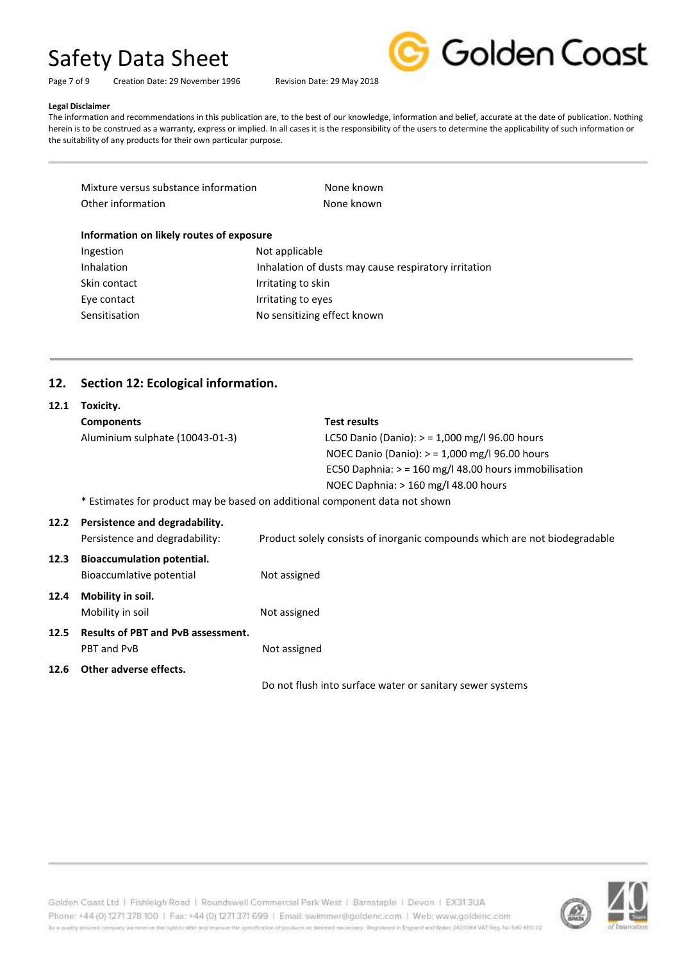Page 7 of 9 Creation Date: 29 November 1996 Revision Date: 29 May 2018



#### **Legal Disclaimer**

The information and recommendations in this publication are, to the best of our knowledge, information and belief, accurate at the date of publication. Nothing herein is to be construed as a warranty, express or implied. In all cases it is the responsibility of the users to determine the applicability of such information or the suitability of any products for their own particular purpose.

| Mixture versus substance information | None known |
|--------------------------------------|------------|
| Other information                    | None known |

### **Information on likely routes of exposure**

| Ingestion         | Not applicable                                       |
|-------------------|------------------------------------------------------|
| <b>Inhalation</b> | Inhalation of dusts may cause respiratory irritation |
| Skin contact      | Irritating to skin                                   |
| Eye contact       | Irritating to eyes                                   |
| Sensitisation     | No sensitizing effect known                          |

# **12. Section 12: Ecological information.**

| 12.1 | Toxicity.                                                                   |                                                                            |  |
|------|-----------------------------------------------------------------------------|----------------------------------------------------------------------------|--|
|      | <b>Components</b>                                                           | <b>Test results</b>                                                        |  |
|      | Aluminium sulphate (10043-01-3)                                             | LC50 Danio (Danio): $>$ = 1,000 mg/l 96.00 hours                           |  |
|      |                                                                             | NOEC Danio (Danio): $>$ = 1,000 mg/l 96.00 hours                           |  |
|      |                                                                             | EC50 Daphnia: $>$ = 160 mg/l 48.00 hours immobilisation                    |  |
|      |                                                                             | NOEC Daphnia: $> 160$ mg/l 48.00 hours                                     |  |
|      | * Estimates for product may be based on additional component data not shown |                                                                            |  |
| 12.2 | Persistence and degradability.                                              |                                                                            |  |
|      | Persistence and degradability:                                              | Product solely consists of inorganic compounds which are not biodegradable |  |
| 12.3 | <b>Bioaccumulation potential.</b>                                           |                                                                            |  |
|      | Bioaccumlative potential                                                    | Not assigned                                                               |  |
| 12.4 | Mobility in soil.                                                           |                                                                            |  |
|      | Mobility in soil                                                            | Not assigned                                                               |  |
| 12.5 | <b>Results of PBT and PvB assessment.</b>                                   |                                                                            |  |
|      | PBT and PvB                                                                 | Not assigned                                                               |  |
| 12.6 | Other adverse effects.                                                      |                                                                            |  |
|      |                                                                             | Do not flush into surface water or sanitary sewer systems                  |  |

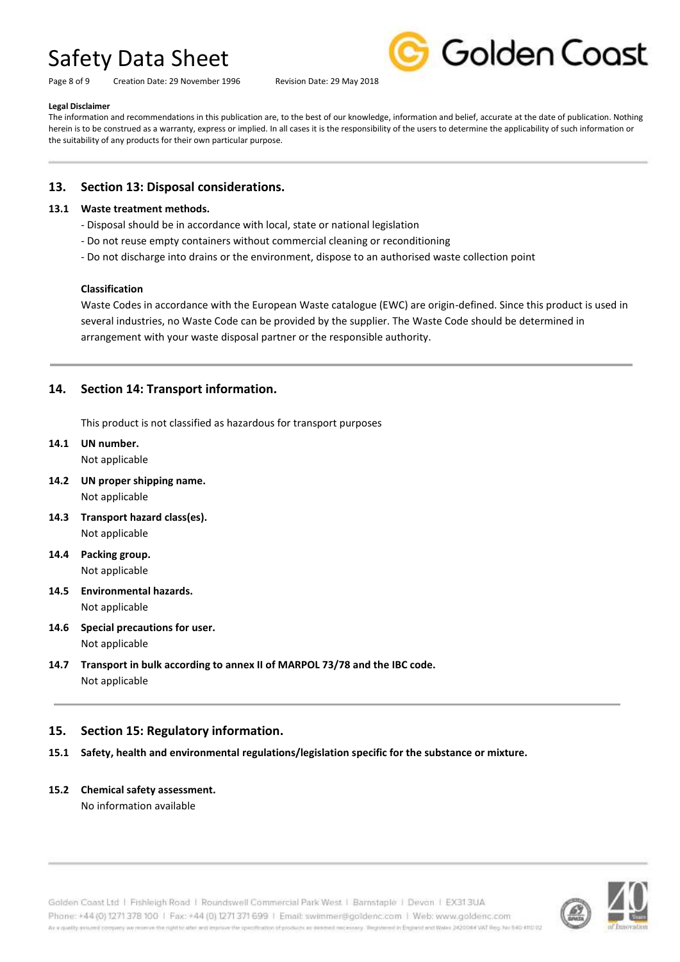Page 8 of 9 Creation Date: 29 November 1996 Revision Date: 29 May 2018



#### **Legal Disclaimer**

The information and recommendations in this publication are, to the best of our knowledge, information and belief, accurate at the date of publication. Nothing herein is to be construed as a warranty, express or implied. In all cases it is the responsibility of the users to determine the applicability of such information or the suitability of any products for their own particular purpose.

### **13. Section 13: Disposal considerations.**

### **13.1 Waste treatment methods.**

- Disposal should be in accordance with local, state or national legislation
- Do not reuse empty containers without commercial cleaning or reconditioning
- Do not discharge into drains or the environment, dispose to an authorised waste collection point

#### **Classification**

Waste Codes in accordance with the European Waste catalogue (EWC) are origin-defined. Since this product is used in several industries, no Waste Code can be provided by the supplier. The Waste Code should be determined in arrangement with your waste disposal partner or the responsible authority.

# **14. Section 14: Transport information.**

This product is not classified as hazardous for transport purposes

### **14.1 UN number.**

Not applicable

- **14.2 UN proper shipping name.** Not applicable
- **14.3 Transport hazard class(es).** Not applicable
- **14.4 Packing group.** Not applicable
- **14.5 Environmental hazards.** Not applicable
- **14.6 Special precautions for user.** Not applicable
- **14.7 Transport in bulk according to annex II of MARPOL 73/78 and the IBC code.** Not applicable

# **15. Section 15: Regulatory information.**

- **15.1 Safety, health and environmental regulations/legislation specific for the substance or mixture.**
- **15.2 Chemical safety assessment.**

No information available